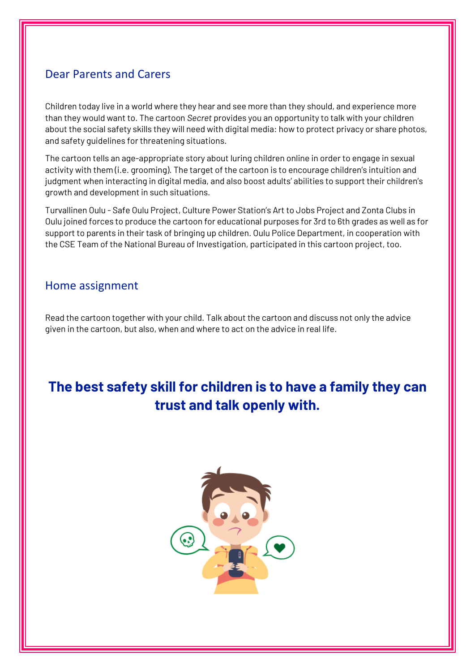## Dear Parents and Carers

Children today live in a world where they hear and see more than they should, and experience more than they would want to. The cartoon *Secret* provides you an opportunity to talk with your children about the social safety skills they will need with digital media: how to protect privacy or share photos, and safety guidelines for threatening situations.

The cartoon tells an age-appropriate story about luring children online in order to engage in sexual activity with them (i.e. grooming). The target of the cartoon is to encourage children's intuition and judgment when interacting in digital media, and also boost adults' abilities to support their children's growth and development in such situations.

Turvallinen Oulu - Safe Oulu Project, Culture Power Station's Art to Jobs Project and Zonta Clubs in Oulu joined forces to produce the cartoon for educational purposes for 3rd to 6th grades as well as for support to parents in their task of bringing up children. Oulu Police Department, in cooperation with the CSE Team of the National Bureau of Investigation, participated in this cartoon project, too.

## Home assignment

Read the cartoon together with your child. Talk about the cartoon and discuss not only the advice given in the cartoon, but also, when and where to act on the advice in real life.

# **The best safety skill for children is to have a family they can trust and talk openly with.**

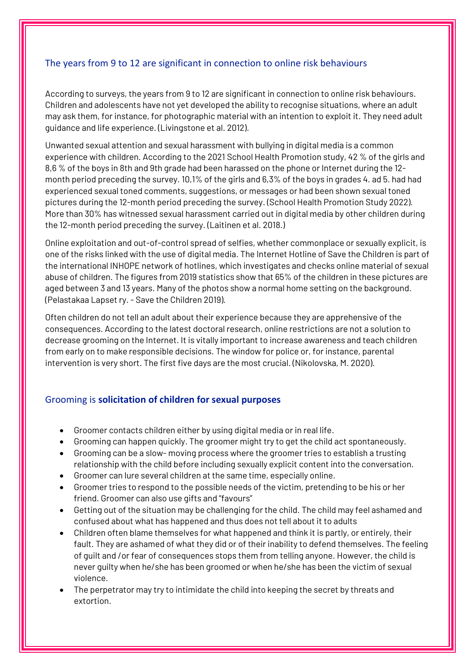### The years from 9 to 12 are significant in connection to online risk behaviours

According to surveys, the years from 9 to 12 are significant in connection to online risk behaviours. Children and adolescents have not yet developed the ability to recognise situations, where an adult may ask them, for instance, for photographic material with an intention to exploit it. They need adult guidance and life experience. (Livingstone et al. 2012).

Unwanted sexual attention and sexual harassment with bullying in digital media is a common experience with children. According to the 2021 School Health Promotion study, 42 % of the girls and 8,6 % of the boys in 8th and 9th grade had been harassed on the phone or Internet during the 12 month period preceding the survey. 10,1% of the girls and 6,3% of the boys in grades 4. ad 5. had had experienced sexual toned comments, suggestions, or messages or had been shown sexual toned pictures during the 12-month period preceding the survey. (School Health Promotion Study 2022). More than 30% has witnessed sexual harassment carried out in digital media by other children during the 12-month period preceding the survey. (Laitinen et al. 2018.)

Online exploitation and out-of-control spread of selfies, whether commonplace or sexually explicit, is one of the risks linked with the use of digital media. The Internet Hotline of Save the Children is part of the international INHOPE network of hotlines, which investigates and checks online material of sexual abuse of children. The figures from 2019 statistics show that 65% of the children in these pictures are aged between 3 and 13 years. Many of the photos show a normal home setting on the background. (Pelastakaa Lapset ry. - Save the Children 2019).

Often children do not tell an adult about their experience because they are apprehensive of the consequences. According to the latest doctoral research, online restrictions are not a solution to decrease grooming on the Internet. It is vitally important to increase awareness and teach children from early on to make responsible decisions. The window for police or, for instance, parental intervention is very short. The first five days are the most crucial. (Nikolovska, M. 2020).

#### Grooming is **solicitation of children for sexual purposes**

- Groomer contacts children either by using digital media or in real life.
- Grooming can happen quickly. The groomer might try to get the child act spontaneously.
- Grooming can be a slow- moving process where the groomer tries to establish a trusting relationship with the child before including sexually explicit content into the conversation.
- Groomer can lure several children at the same time, especially online.
- Groomer tries to respond to the possible needs of the victim, pretending to be his or her friend. Groomer can also use gifts and "favours"
- Getting out of the situation may be challenging for the child. The child may feel ashamed and confused about what has happened and thus does not tell about it to adults
- Children often blame themselves for what happened and think it is partly, or entirely, their fault. They are ashamed of what they did or of their inability to defend themselves. The feeling of guilt and /or fear of consequences stops them from telling anyone. However, the child is never guilty when he/she has been groomed or when he/she has been the victim of sexual violence.
- The perpetrator may try to intimidate the child into keeping the secret by threats and extortion.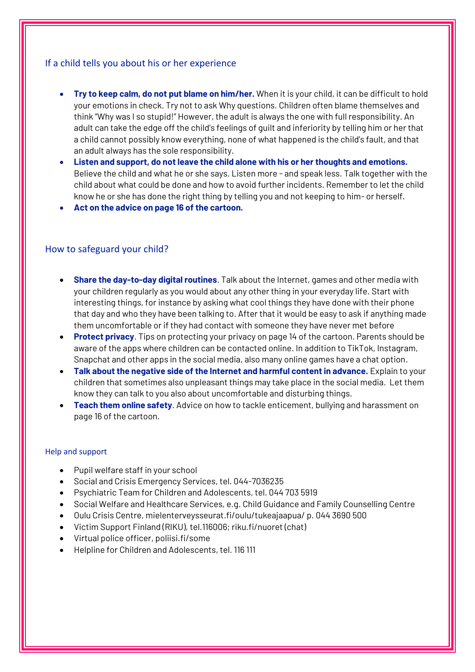#### If a child tells you about his or her experience

- **Try to keep calm, do not put blame on him/her.** When it is your child, it can be difficult to hold your emotions in check. Try not to ask Why questions. Children often blame themselves and think "Why was I so stupid!" However, the adult is always the one with full responsibility. An adult can take the edge off the child's feelings of guilt and inferiority by telling him or her that a child cannot possibly know everything, none of what happened is the child's fault, and that an adult always has the sole responsibility.
- **Listen and support, do not leave the child alone with his or her thoughts and emotions.** Believe the child and what he or she says. Listen more - and speak less. Talk together with the child about what could be done and how to avoid further incidents. Remember to let the child know he or she has done the right thing by telling you and not keeping to him- or herself.
- **Act on the advice on page 16 of the cartoon.**

#### How to safeguard your child?

- **Share the day-to-day digital routines**. Talk about the Internet, games and other media with your children regularly as you would about any other thing in your everyday life. Start with interesting things, for instance by asking what cool things they have done with their phone that day and who they have been talking to. After that it would be easy to ask if anything made them uncomfortable or if they had contact with someone they have never met before
- **Protect privacy**. Tips on protecting your privacy on page 14 of the cartoon. Parents should be aware of the apps where children can be contacted online. In addition to TikTok, Instagram, Snapchat and other apps in the social media, also many online games have a chat option.
- **Talk about the negative side of the Internet and harmful content in advance.** Explain to your children that sometimes also unpleasant things may take place in the social media. Let them know they can talk to you also about uncomfortable and disturbing things.
- **Teach them online safety**. Advice on how to tackle enticement, bullying and harassment on page 16 of the cartoon.

#### Help and support

- Pupil welfare staff in your school
- Social and Crisis Emergency Services, tel. 044-7036235
- Psychiatric Team for Children and Adolescents, tel. 044 703 5919
- Social Welfare and Healthcare Services, e.g. Child Guidance and Family Counselling Centre
- Oulu Crisis Centre, mielenterveysseurat.fi/oulu/tukeajaapua/ p. 044 3690 500
- Victim Support Finland (RIKU), tel.116006; riku.fi/nuoret (chat)
- Virtual police officer, poliisi.fi/some
- Helpline for Children and Adolescents, tel. 116 111